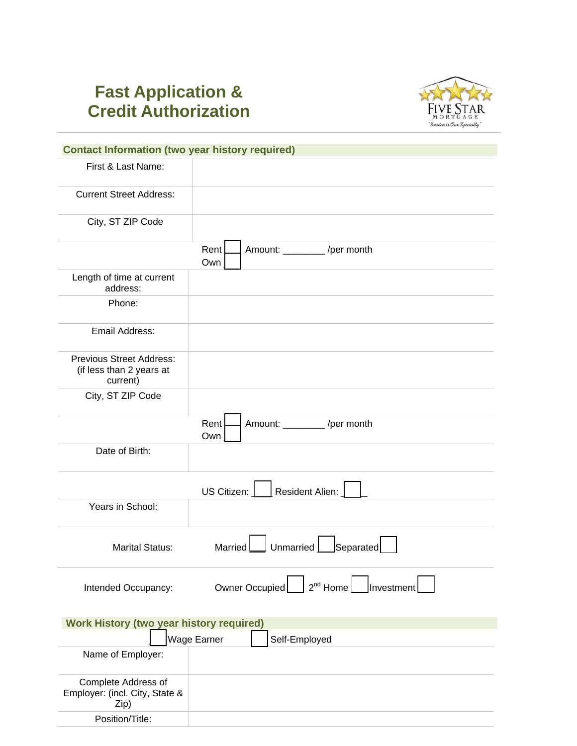## **Fast Application & Credit Authorization**



| <b>Contact Information (two year history required)</b>                  |                                                   |  |  |  |  |
|-------------------------------------------------------------------------|---------------------------------------------------|--|--|--|--|
| First & Last Name:                                                      |                                                   |  |  |  |  |
|                                                                         |                                                   |  |  |  |  |
| <b>Current Street Address:</b>                                          |                                                   |  |  |  |  |
| City, ST ZIP Code                                                       |                                                   |  |  |  |  |
|                                                                         | Rent<br>Amount: _________ /per month<br>Own       |  |  |  |  |
| Length of time at current<br>address:                                   |                                                   |  |  |  |  |
| Phone:                                                                  |                                                   |  |  |  |  |
| Email Address:                                                          |                                                   |  |  |  |  |
| <b>Previous Street Address:</b><br>(if less than 2 years at<br>current) |                                                   |  |  |  |  |
| City, ST ZIP Code                                                       |                                                   |  |  |  |  |
|                                                                         | Rent<br>Amount: _________ /per month<br>Own       |  |  |  |  |
| Date of Birth:                                                          |                                                   |  |  |  |  |
|                                                                         | Resident Alien:<br>US Citizen:                    |  |  |  |  |
| Years in School:                                                        |                                                   |  |  |  |  |
| <b>Marital Status:</b>                                                  | $\sf J$ Separated $\sf l$<br>Unmarried<br>Married |  |  |  |  |
| Intended Occupancy:                                                     | Owner Occupied                                    |  |  |  |  |
| <b>Work History (two year history required)</b>                         |                                                   |  |  |  |  |
|                                                                         | Wage Earner<br>Self-Employed                      |  |  |  |  |
| Name of Employer:                                                       |                                                   |  |  |  |  |
| Complete Address of<br>Employer: (incl. City, State &<br>Zip)           |                                                   |  |  |  |  |

Position/Title: